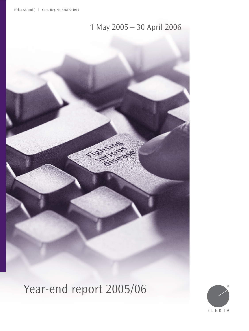## 1 May 2005 – 30 April 2006

 $\overline{\left\langle \cdot \right\rangle}$ 

# Year-end report 2005/06

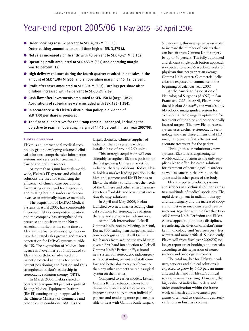## Year-end report 2005/06 1 May 2005 – 30 April 2006

- **Order bookings rose 32 percent to SEK 4,705 M (3,558). Order backlog amounted to an all time high of SEK 3,875 M.**
- **Net sales increased significantly with 40 percent to SEK 4,421 M (3,152).**
- Operating profit amounted to SEK 453 M (364) and operating margin **was 10 percent (12).**
- **High delivery volumes during the fourth quarter resulted in net sales in the amount of SEK 1,384 M (956) and an operating margin of 15 (12) percent.**
- **Profit after taxes amounted to SEK 304 M (253). Earnings per share after dilution increased with 19 percent to SEK 3.21 (2.69).**
- Cash flow after investments amounted to SEK 158 M (neg: 1,042). **Acquisitions of subsidiaries were included with SEK 195 (1,384).**
- In accordance with Elekta's distribution policy, a dividend of **SEK 1.00 per share is proposed.**
- **The financial objectives for the Group remain unchanged, including the objective to reach an operating margin of 14-16 percent in fiscal year 2007/08.**

## **Elekta's operations**

Elekta is an international medical-technology group developing advanced clinical solutions, comprehensive information systems and services for treatment of cancer and brain disorders.

At more than 3,000 hospitals worldwide, Elekta's IT systems and clinical solutions are used for enhancing the efficiency of clinical care operations, for treating cancer and for diagnosing and treating brain disorders with noninvasive or minimally invasive methods.

The acquisition of IMPAC Medical Systems in April 2005, has considerably improved Elekta's competitive position and the company has strengthened its presence and position in the North American market, at the same time as Elekta's international sales organization have facilitated sales growth and market penetration for IMPAC systems outside the US. The acquisition of Medical Intelligence in November 2005 has added to Elekta a portfolio of advanced and patent protected solutions for precise patient positioning and fixation and thus strengthened Elekta's leadership in stereotactic radiation therapy (SRT).

In March 2006, Elekta signed a contract to acquire 80 percent equity of Beijing Medical Equipment Institute (BMEI) contingent upon approval from the Chinese Ministry of Commerce and other closing conditions. BMEI is the

largest domestic Chinese supplier of radiation therapy systems with an installed base of around 260 units.

This strategic acquisition will considerably strengthen Elekta's position on the fast growing Chinese market for radiation therapy solutions. Today, Elekta holds a market leading position in the high-end segment and BMEI brings to Elekta the ability to fully meet the needs of the Chinese and other emerging markets for affordable and lower cost radiation therapy solutions.

In April and May 2006, Elekta launched two new market leading clinical solutions for stereotactic radiation therapy and stereotactic radiosurgery.

At the 13th International Leksell Gamma Knife Society Meeting, in Seoul, Korea, 300 leading neurosurgeons, radiation oncologists and Leksell Gamma Knife users from around the world were given a first hand introduction to Leksell Gamma Knife® Perfexion™, a brand new system for stereotactic radiosurgery with outstanding patient and staff comfort and better dosimetry performance than any other competitive radiosurgical system on the market.

Compared to earlier models, Leksell Gamma Knife Perfexion allows for a dramatically increased treatable volume, improving the ability to treat individual patients and rendering more patients possible to treat with Gamma Knife surgery.

Subsequently, this new system is estimated to increase the number of patients that can benefit from Gamma Knife surgery by up to 40 percent. The fully automated and efficient single push button approach is expected to save 3-5 working weeks of physician time per year at an average Gamma Knife center. Commercial deliveries are expected to commence in the beginning of calendar year 2007.

At the American Association of Neurological Surgeons (AANS) in San Francisco, USA, in April, Elekta introduced Elekta Axesse™, the world's only 6D robotic image guided system for extracranial radiosurgery optimized for treatment of the spine and other critically located targets. The new Elekta Axesse system uses exclusive stereotactic technology and true three-dimensional (3D) imaging to ensure fast, efficient and accurate treatment for the patient.

Through these revolutionary new systems, Elekta is strengthening its world-leading position as the only supplier able to offer dedicated solutions for treatment of neurological disorders as well as cancer in the brain, on the spine and in other parts of the body.

Elekta supplies products, systems and services in six clinical solutions areas to a multitude of medical specialties. The rapid development in radiation therapy and radiosurgery and the increased cooperation between oncologists and neurosurgeons, together with the fact that Leksell Gamma Knife Perfexion and Elekta Axesse appeal to both these disciplines, is rendering the division of Elekta's market in 'oncology' and 'neurosurgery' less relevant and more artificial. Subsequently, Elekta will from fiscal year 2006/07, no longer report order bookings and net sales according to this separation of neurosurgery and oncology customers.

The total market for Elekta's products, services and clinical solutions is expected to grow by 5-10 percent annually, and demand for Elekta's clinical solutions remains strong. However, the high value of individual orders and order coordination within the framework of health care investment programs often lead to significant quarterly variations in business volume.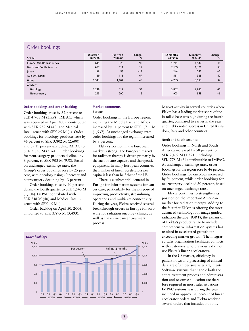## Order bookings

| <b>SEK M</b>                | <b>Ouarter 4</b><br>2005/06 | <b>Ouarter 4</b><br>2004/05 | Change,<br>%   | 12 months<br>2005/06 | 12 months<br>2004/05 | Change,<br>% |
|-----------------------------|-----------------------------|-----------------------------|----------------|----------------------|----------------------|--------------|
| Europe, Middle East, Africa | 619                         | 325                         | 90             | 1,711                | 1,537                | 11           |
| North and South America     | 687                         | 611                         | 12             | 2,169                | 1,371                | 58           |
| Japan                       | 48                          | 55                          | $-13$          | 244                  | 262                  | $-7$         |
| Asia excl Japan             | 189                         | 113                         | 67             | 581                  | 388                  | 50           |
| Group                       | 1,543                       | 1.104                       | 40             | 4.705                | 3,558                | 32           |
| of which                    |                             |                             |                |                      |                      |              |
| Oncology                    | 1,248                       | 814                         | 53             | 3,802                | 2,600                | 46           |
| Neurosurgery                | 295                         | 290                         | $\overline{2}$ | 903                  | 958                  | $-6$         |

## **Order bookings and order backlog**

Order bookings rose by 32 percent to SEK 4,705 M (3,558). IMPAC, which was acquired in April 2005, contributed with SEK 952 M (40) and Medical Intelligence with SEK 25 M (–). Order bookings for oncology products rose by 46 percent to SEK 3,802 M (2,600) and by 11 percent excluding IMPAC to SEK 2,850 M (2,560). Order bookings for neurosurgery products declined by 6 percent, to SEK 903 M (958). Based on unchanged exchange rates, the Group's order bookings rose by 25 percent, with oncology rising 40 percent and neurosurgery declining by 13 percent.

Order bookings rose by 40 percent during the fourth quarter to SEK 1,543 M (1,104). IMPAC contributed with SEK 318 M (40) and Medical Intelligence with SEK 16 M  $(-)$ .

Order backlog on April 30, 2006, amounted to SEK 3,875 M (3,493).

## **Market comments** Europe

Order bookings in the Europe region, including the Middle East and Africa, increased by 11 percent to SEK 1,711 M (1,537). At unchanged exchange rates, order bookings for the region increased by 8 percent.

Elekta's position in the European market is strong. The European market for radiation therapy is driven primarily by the lack of care capacity and therapeutic equipment. In many European countries, the number of linear accelerators per capita is less than half that of the US.

There is a substantial demand in Europe for information systems for cancer care, particularly for the purpose of improving productivity, streamlining operations and multi-site connectivity. During the year, Elekta received several breakthrough orders in Europe for software for radiation oncology clinics, as well as the entire cancer treatment process.



Market activity in several countries where Elekta has a leading market share of the installed base was high during the fourth quarter, compared to earlier in the year and Elekta noted success in United Kingdom, Italy and other countries.

#### North and South America

Order bookings in North and South America increased by 58 percent to SEK 2,169 M (1,371), including SEK 778 M (34) attributable to IMPAC. At unchanged exchange rates, order bookings for the region rose by 46 percent. Order bookings for oncology increased by 94 percent, while order bookings for neurosurgery declined 30 percent, based on unchanged exchange rates.

Elekta continues to strengthen its position on the important American market for radiation therapy. Adding to the fact that Elekta is offering the most advanced technology for image guided radiation therapy (IGRT), the expansion of Elekta's product range to include comprehensive information systems has resulted in accelerated growth far exceeding market growth. The integrated sales organization facilitates contacts with customers who previously did not use Elekta's linear accelerators.

In the US market, efficiency in patient flows and processing of clinical data are often decisive sales arguments. Software systems that handle both the entire treatment process and administration and resource allocation are therefore required in most sales situations. IMPAC systems was during the year included in approx. 70 percent of linear accelerator orders and Elekta received several orders that included not only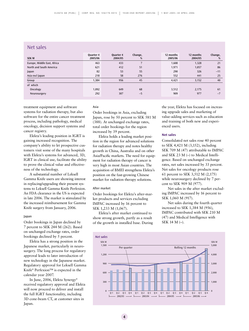## Net sales

| <b>SEK M</b>                | Quarter 4<br>2005/06 | <b>Ouarter 4</b><br>2004/05 | Change,<br>% | 12 months<br>2005/06 | 12 months<br>2004/05 | Change,<br>% |
|-----------------------------|----------------------|-----------------------------|--------------|----------------------|----------------------|--------------|
| Europe, Middle East, Africa | 463                  | 433                         |              | 1,608                | 1,328                | 21           |
| North and South America     | 621                  | 412                         | 51           | 1,971                | 1,057                | 86           |
| Japan                       | 82                   | 53                          | 55           | 290                  | 326                  | $-11$        |
| Asia excl Japan             | 218                  | 58                          | 276          | 552                  | 441                  | 25           |
| Group                       | 1,384                | 956                         | 45           | 4,421                | 3,152                | 40           |
| of which                    |                      |                             |              |                      |                      |              |
| Oncology                    | 1,092                | 649                         | 68           | 3,512                | 2,175                | 61           |
| Neurosurgery                | 292                  | 307                         | $-5$         | 909                  | 977                  | $-7$         |

treatment equipment and software systems for radiation therapy, but also software for the entire cancer treatment process, including pathology, medical oncology, decision support systems and cancer registry.

Elekta's leading position in IGRT is gaining increased recognition. The company's ability to let prospective customers visit some of the many hospitals with Elekta's systems for advanced, 3D, IGRT in clinical use, facilitate the ability to prove the clinical value and effectiveness of the technology.

A substantial number of Leksell Gamma Knife users are showing interest in replacing/upgrading their present systems to Leksell Gamma Knife Perfexion. An FDA clearance in the US is expected in late 2006. The market is stimulated by the increased reimbursement for Gamma Knife surgery from January, 2006.

## Japan

Order bookings in Japan declined by 7 percent to SEK 244 M (262). Based on unchanged exchange rates, order bookings declined by 5 percent.

Elekta has a strong position in the Japanese market, particularly in neurosurgery. The long process for regulatory approval leads to later introduction of new technology in the Japanese market. Regulatory approval for Leksell Gamma Knife® Perfexion™ is expected in the calendar year 2007.

In June, 2006, Elekta Synergy® received regulatory approval and Elekta will now proceed to deliver and install the full IGRT functionality, including 3D cone-beam CT, at customer sites in Japan.

#### Asia

Order bookings in Asia, excluding Japan, rose by 50 percent to SEK 581 M (388). At unchanged exchange rates, total order bookings for the region increased by 39 percent.

Elekta holds a leading market position in the region for advanced solutions for radiation therapy and notes healthy growth in China, Australia and on other Asia/Pacific markets. The need for equipment for radiation therapy of cancer is very high in most Asian countries. The acquisition of BMEI strengthens Elekta's position on the fast-growing Chinese market for radiation therapy solutions.

#### After market

Order bookings for Elekta's after-market products and services excluding IMPAC increased by 16 percent to SEK 1,233 M (1,067).

Elekta's after market continued to show strong growth, partly as a result of the growth in installed base. During the year, Elekta has focused on increasing upgrade sales and marketing of value-adding services such as education and training of both new and experienced users.

## **Net sales**

Consolidated net sales rose 40 percent to SEK 4,421 M (3,152), including SEK 709 M (47) attributable to IMPAC and SEK 23 M (–) to Medical Intelligence. Based on unchanged exchange rates, net sales increased by 33 percent. Net sales for oncology products rose 61 percent to SEK 3,512 M (2,175) while neurosurgery declined by 7 percent to SEK 909 M (977).

Net sales in the after market excluding IMPAC increased by 16 percent to SEK 1,060 M (917).

Net sales during the fourth quarter increased to SEK 1,384 M (956), IMPAC contributed with SEK 210 M (47) and Medical Intelligence with SEK 14 M (–).

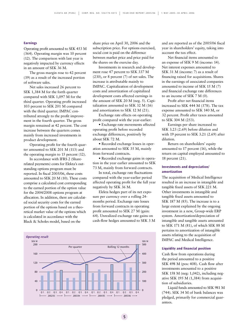## **Earnings**

Operating profit amounted to SEK 453 M (364). Operating margin was 10 percent (12). The comparison with last year is negatively impacted by currency effects in an amount of SEK 36 M.

The gross margin rose to 42 percent (39) as a result of the increased portion of software sales.

Net sales increased 26 percent to SEK 1,384 M for the forth quarter compared with SEK 1,097 M for the third quarter. Operating profit increased 103 percent to SEK 201 M compared with the third quarter. IMPAC contributed strongly to the profit improvement in the fourth quarter. The gross margin remained at 42 percent. The cost increase between the quarters comes mainly from increased investments in product development.

Operating profit for the fourth quarter amounted to SEK 201 M (113) and the operating margin to 15 percent (12).

In accordance with IFRS 2 (Sharerelated payments) costs for Elekta's outstanding options program must be reported. In fiscal 2005/06, these costs amounted to SEK 20 M (10). These costs comprise a calculated cost corresponding to the earned portion of the option value for the 2004/2008 options program at allocation. In addition, there are calculated social security costs for the earned portion of the options based on a theoretical market value of the options which is calculated in accordance with the Black & Scholes model, based on the

share price on April 30, 2006 and the subscription price. For options exercised, social cost is paid on the difference between market price and price paid for the shares on the exercise day.

Investments in research and development rose 47 percent to SEK 337 M (230), or 8 percent (7) of net sales. The increase is attributable mainly to IMPAC. Capitalization of development costs and amortization of capitalized development costs affected earnings in the amount of SEK 20 M (neg. 5). Capitalization amounted to SEK 32 M (16) and amortization to SEK 12 M (21).

Exchange rate effects on operating profit compared with the year-earlier:

• Exchange-rate movements affected operating profit before recorded exchange differences, positively by about SEK 72 M.

• Recorded exchange losses in operation amounted to SEK 35 M, mainly from forward contracts.

• Recorded exchange gains in operation in the year earlier amounted to SEK 73 M, mainly from forward contracts.

In total, exchange rate fluctuations compared with the year-earlier period affected operating profit for the full year negatively by SEK 36 M.

Elekta hedges part of its net exposure per currency over a rolling 24 months period. Exchange rate losses from forward contracts in operating profit amounted to SEK 27 M (gain: 64). Unrealized exchange rate gains on cash-flow hedges amounted to SEK 3 M



and are reported as of the 2005/06 fiscal year in shareholders' equity, taking into account the tax effect.

Net financial items amounted to an expense of SEK 9 M (income: 14). Net interest expenses amounted to SEK 31 M (income: 7) as a result of financing raised for acquisitions. Shares in the earnings of associated companies amounted to income of SEK 15 M (7) and financial exchange rate differences to an income of SEK 7 M (0).

Profit after net financial items increased to SEK 444 M (378). The tax expense amounted to SEK 140 M, or 32 percent. Profit after taxes amounted to SEK 304 M (253).

Earnings per share increased to SEK 3.23 (2.69) before dilution and with 19 percent to SEK 3.21 (2.69) after dilution.

Return on shareholders' equity amounted to 17 percent (16), while the return on capital employed amounted to 18 percent (21).

## **Investments and depreciation/ amortization**

The acquisition of Medical Intelligence resulted in an increase in intangible and tangible fixed assets of SEK 221 M. Other investments in intangible and tangible fixed assets amounted to SEK 187 M (85). The increase is to a large extent explained by the ongoing investment in a new, Group-wide ERP system. Amortization/depreciation of intangible and tangible assets amounted to SEK 171 M (81), of which SEK 88 M pertains to amortization of intangible assets relating to the acquisition of IMPAC and Medical Intelligence.

## **Liquidity and financial position**

Cash flow from operations during the period amounted to a positive SEK 498 M (pos: 408). Cash flow after investments amounted to a positive SEK 158 M (neg: 1,042), including negative SEK 195 M (1,384) from acquisition of subsidiaries.

Liquid funds amounted to SEK 981 M (744). SEK 34 M of bank balances was pledged, primarily for commercial guarantees.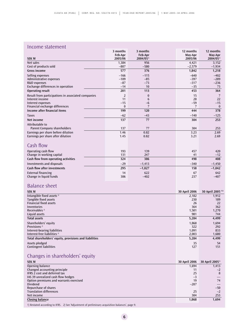## Income statement

|                                                    | 3 months | 3 months                | 12 months | 12 months               |
|----------------------------------------------------|----------|-------------------------|-----------|-------------------------|
|                                                    | Feb-Apr  | Feb-Apr                 | May-Apr   | May-Apr                 |
| <b>SEK M</b>                                       | 2005/06  | $2004/05$ <sup>1)</sup> | 2005/06   | $2004/05$ <sup>1)</sup> |
| Net sales                                          | 1,384    | 956                     | 4,421     | 3,152                   |
| Cost of products sold                              | $-807$   | $-580$                  | $-2,579$  | $-1,934$                |
| <b>Gross income</b>                                | 577      | 376                     | 1,842     | 1,218                   |
| Selling expenses                                   | $-166$   | $-115$                  | $-640$    | $-402$                  |
| Administrative expenses                            | $-109$   | $-85$                   | $-397$    | $-289$                  |
| R&D expenses                                       | $-87$    | $-73$                   | $-317$    | $-236$                  |
| Exchange differences in operation                  | $-14$    | 10                      | $-35$     | 73                      |
| Operating result                                   | 201      | 113                     | 453       | 364                     |
| Result from participations in associated companies | 2        | $\bf{0}$                | 15        | 7                       |
| Interest income                                    | 11       | 6                       | 28        | 22                      |
| Interest expenses                                  | $-15$    | $-6$                    | $-59$     | $-15$                   |
| Financial exchange differences                     | $\bf{0}$ | 7                       | 7         | $\mathbf{0}$            |
| Income after financial items                       | 199      | 120                     | 444       | 378                     |
| <b>Taxes</b>                                       | $-62$    | $-43$                   | $-140$    | $-125$                  |
| <b>Net income</b>                                  | 137      | 77                      | 304       | 253                     |
| Attributable to                                    |          |                         |           |                         |
| Parent Company shareholders                        | 137      | 77                      | 304       | 253                     |
| Earnings per share before dilution                 | 1.46     | 0.82                    | 3.23      | 2.69                    |
| Earnings per share after dilution                  | 1.45     | 0.82                    | 3.21      | 2.69                    |
|                                                    |          |                         |           |                         |
| Cash flow                                          |          |                         |           |                         |
| Operating cash flow                                | 193      | 139                     | 457       | 420                     |
| Change in working capital                          | 131      | 247                     | 41        | $-12$                   |
| Cash flow from operating activities                | 324      | 386                     | 498       | 408                     |
| Investments and disposals                          | $-29$    | $-1,413$                | $-340$    | $-1,450$                |
| <b>Cash flow after investments</b>                 | 295      | $-1,027$                | 158       | $-1,042$                |
| <b>External financing</b>                          | 14       | 622                     | 67        | 642                     |
| Change in liquid funds                             | 306      | $-402$                  | 237       | $-407$                  |

## Balance sheet

| <b>SEK M</b>                                           | 30 April 2006 | 30 April 2005 <sup>1)2)</sup> |
|--------------------------------------------------------|---------------|-------------------------------|
| Intangible fixed assets <sup>2)</sup>                  | 2,182         | 1,912                         |
| Tangible fixed assets                                  | 230           | 189                           |
| <b>Financial fixed assets</b>                          | 26            | 22                            |
| Inventories                                            | 364           | 362                           |
| Receivables $2$                                        | 1,501         | 1,270                         |
| Liquid assets                                          | 981           | 744                           |
| <b>Total assets</b>                                    | 5,284         | 4,499                         |
| Shareholders' equity                                   | 1,868         | 1,694                         |
| Provisions <sup><math>2</math></sup>                   | 322           | 292                           |
| Interest-bearing liabilities                           | 1,091         | 833                           |
| Interest-free liabilities <sup>2</sup>                 | 2,003         | 1,680                         |
| Total shareholders' equity, provisions and liabilities | 5,284         | 4,499                         |
| Assets pledged                                         | 35            | 54                            |
| <b>Contingent liabilities</b>                          | 127           | 151                           |

## Changes in shareholders' equity

| <b>SEK M</b>                           | 30 April 2006 | $30$ April 2005 <sup>1</sup> |
|----------------------------------------|---------------|------------------------------|
| Opening balance                        | 1,694         | 1.413                        |
| Changed accounting principle           | 11            | $-2$                         |
| IFRS 2 cost and deferred tax           | 25            | 8                            |
| IAS 39 unrealized cash flow hedges     | $-3$          |                              |
| Option premiums and warrants exercised | 19            | 74                           |
| <b>Dividend</b>                        | $-207$        |                              |
| Repurchase of shares                   |               | $-50$                        |
| <b>Translation differences</b>         | 25            | $-2$                         |
| Net income                             | 304           | 253                          |
| Closing balance                        | 1,868         | 1,694                        |

1) Restated according to IFRS. 2) See 'Adjustment of preliminary acquisition balances', page 9.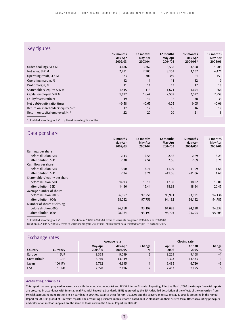## Key figures

| <b>INCY LIBUTES</b>                               |                                 |                                 |                                 |                                                 |                                 |
|---------------------------------------------------|---------------------------------|---------------------------------|---------------------------------|-------------------------------------------------|---------------------------------|
|                                                   | 12 months<br>May-Apr<br>2002/03 | 12 months<br>May-Apr<br>2003/04 | 12 months<br>May-Apr<br>2004/05 | 12 months<br>May-Apr<br>$2004/05$ <sup>1)</sup> | 12 months<br>May-Apr<br>2005/06 |
| Order bookings, SEK M                             | 3,186                           | 3,262                           | 3,558                           | 3,558                                           | 4,705                           |
| Net sales, SEK M                                  | 2,781                           | 2,900                           | 3,152                           | 3,152                                           | 4,421                           |
| Operating result, SEK M                           | 323                             | 306                             | 349                             | 364                                             | 453                             |
| Operating margin, %                               | 12                              | 11                              | 11                              | 12                                              | 10                              |
| Profit margin, %                                  | 11                              | 11                              | 12                              | 12                                              | 10                              |
| Shareholders' equity, SEK M                       | 1,445                           | 1,413                           | 1,674                           | 1,694                                           | 1,868                           |
| Capital employed, SEK M                           | 1,697                           | 1,644                           | 2,507                           | 2,527                                           | 2,959                           |
| Equity/assets ratio, %                            | 49                              | 46                              | 37                              | 38                                              | 35                              |
| Net debt/equity ratio, times                      | $-0.58$                         | $-0.65$                         | 0.05                            | 0.05                                            | $-0.06$                         |
| Return on shareholders' equity, $%$ <sup>3)</sup> | 17                              | 17                              | 16                              | 16                                              | 17                              |
| Return on capital employed, $%$ <sup>3)</sup>     | 22                              | 20                              | 20                              | 21                                              | 18                              |

1) Restated according to IFRS. 3) Based on rolling 12 months.

## Data per share

|                                | 12 months | 12 months | 12 months | 12 months               | 12 months |
|--------------------------------|-----------|-----------|-----------|-------------------------|-----------|
|                                | May-Apr   | May-Apr   | May-Apr   | May-Apr                 | May-Apr   |
|                                | 2002/03   | 2003/04   | 2004/05   | $2004/05$ <sup>1)</sup> | 2005/06   |
| Earnings per share             |           |           |           |                         |           |
| before dilution, SEK           | 2.43      | 2.54      | 2.56      | 2.69                    | 3.23      |
| after dilution, SEK            | 2.38      | 2.54      | 2.56      | 2.69                    | 3.21      |
| Cash flow per share            |           |           |           |                         |           |
| before dilution, SEK           | 3.00      | 3.71      | $-11.09$  | $-11.09$                | 1.68      |
| after dilution, SEK            | 2.94      | 3.71      | $-11.06$  | $-11.06$                | 1.67      |
| Shareholders' equity per share |           |           |           |                         |           |
| before dilution, SEK           | 14.93     | 15.16     | 17.80     | 18.02                   | 19.80     |
| after dilution, SEK            | 14.86     | 15.44     | 18.63     | 18.84                   | 20.45     |
| Average number of shares       |           |           |           |                         |           |
| before dilution, 000s          | 96,057    | 97,756    | 93,991    | 93,991                  | 94,136    |
| after dilution, 000s           | 98,082    | 97,756    | 94,182    | 94,182                  | 94,785    |
| Number of shares at closing    |           |           |           |                         |           |
| before dilution, 000s          | 96,768    | 93,199    | 94,028    | 94,028                  | 94,332    |
| after dilution, 000s           | 98,964    | 93,199    | 95,703    | 95,703                  | 95,703    |
|                                |           |           |           |                         |           |

1) Restated according to IFRS. Dilution in 2002/03-2003/04 refers to warrants program 1999/2002 and 2000/2003. Dilution in 2004/05-2005/06 refers to warrants program 2004/2008. All historical data restated for split 3:1 October 2005.

| Exchange rates       |          |         |              |        |        |              |        |
|----------------------|----------|---------|--------------|--------|--------|--------------|--------|
|                      |          |         | Average rate |        |        | Closing rate |        |
|                      |          | May-Apr | May-Apr      | Change | Apr 30 | Apr 30       | Change |
| Country              | Currency | 2005/06 | 2004/05      | %      | 2006   | 2005         | %      |
| Europe               | 1 EUR    | 9.365   | 9.099        |        | 9.229  | 9.168        | $-1$   |
| <b>Great Britain</b> | 1 GBP    | 13.710  | 13.319       | J.     | 13.363 | 13.533       | $-1$   |
| Japan                | 100 IPY  | 6.782   | 6.695        |        | 6.485  | 6.720        | $-3$   |
| <b>USA</b>           | 1 USD    | 7.728   | 7.196        |        | 7.413  | 7.075        | 5      |

## **Accounting principles**

This report has been prepared in accordance with the Annual Accounts Act and IAS 34 Interim Financial Reporting. Effective May 1, 2005 the Group's financial reports are prepared in accordance with International Financial Reporting Standards (IFRS) approved by the EU. A detailed description of the effects of the conversion from Swedish accounting standards to IFRS on earnings in 2004/05, balance sheet for April 30, 2005 and the conversion to IAS 39 May 1, 2005 is presented in the Annual Report for 2004/05 (Board of Directors' report). The accounting presented in this report is based on IFRS standards in their current form. Other accounting principles and calculation methods applied are the same as those used in the Annual Report for 2004/05.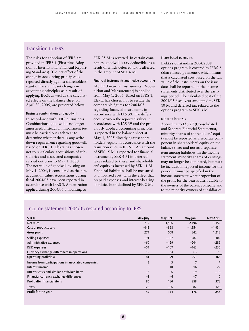## Transition to IFRS

The rules for adoption of IFRS are provided in IFRS 1 (First-time Adoption of International Financial Reporting Standards). The net effect of the change in accounting principles is reported directly against shareholders' equity. The significant changes in accounting principles as a result of applying IFRS, as well as the calculated effects on the balance sheet on April 30, 2005, are presented below.

## Business combinations and goodwill

In accordance with IFRS 3 (Business Combinations) goodwill is no longer amortized. Instead, an impairment test must be carried out each year to determine whether there is any writedown requirement regarding goodwill. Based on IFRS 1, Elekta has chosen not to re-calculate acquisitions of subsidiaries and associated companies carried out prior to May 1, 2000. The net value of goodwill existing on May 1, 2004, is considered as the new acquisition value. Acquisitions during fiscal 2004/05 have been reported in accordance with IFRS 3. Amortization applied during 2004/05 amounting to

SEK 25 M is reversed. In certain companies, goodwill is tax deductible, as a result of which deferred tax is affected in the amount of SEK 6 M.

## Financial instruments and hedge accounting

IAS 39 (Financial Instruments: Recognition and Measurement) is applied from May 1, 2005. Based on IFRS 1, Elekta has chosen not to restate the comparable figures for 2004/05 regarding financial instruments in accordance with IAS 39. The difference between the reported values in accordance with IAS 39 and the previously applied accounting principles is reported in the balance sheet at May 1, 2005 directly against shareholders' equity in accordance with the transition rules in IFRS 1. An amount of SEK 15 M is reported for financial instruments, SEK 4 M in deferred taxes related to these, and shareholders' equity is increased by SEK 11 M. Financial liabilities shall be measured at amortized cost, with the effect that prepaid expenses and interest-bearing liabilities both declined by SEK 2 M.

#### Share-based payments

Elekta's outstanding 2004/2008 options program is covered by IFRS 2 (Share-based payments), which means that a calculated cost based on the fair value of the instruments on the issue date shall be reported in the income statements distributed over the earnings period. The calculated cost of the 2004/05 fiscal year amounted to SEK 10 M and deferred tax related to the options program to SEK 3 M.

## Minority interests

According to IAS 27 (Consolidated and Separate Financial Statements), minority shares of shareholders' equity must be reported as a separate component in shareholders' equity on the balance sheet and not as a separate item among liabilities. In the income statement, minority shares of earnings may no longer be eliminated, but must be included in reported income for the period. It must be specified in the income statement what proportion of the profit for the year is attributable to the owners of the parent company and to the minority owners of subsidiaries.

## Income statement 2004/05 restated according to IFRS

| <b>SEK M</b>                                       | May-July | May-Oct. | May-Jan.       | May-April |
|----------------------------------------------------|----------|----------|----------------|-----------|
| Net sales                                          | 717      | 1,466    | 2,196          | 3,152     |
| Cost of products sold                              | $-443$   | $-898$   | $-1,354$       | $-1,934$  |
| Gross profit                                       | 274      | 568      | 842            | 1,218     |
| Selling expenses                                   | $-91$    | $-187$   | $-287$         | $-402$    |
| Administrative expenses                            | $-60$    | $-129$   | $-204$         | $-289$    |
| R&D expenses                                       | $-54$    | $-107$   | $-163$         | $-236$    |
| Currency exchange differences in operations        | 12       | 34       | 63             | 73        |
| Operating profit/loss                              | 81       | 179      | 251            | 364       |
| Income from participations in associated companies | 3        | 3        | $\overline{7}$ | 7         |
| Interest income                                    | 5        | 10       | 16             | 22        |
| Interest costs and similar profit/loss items       | $-3$     | $-6$     | $-9$           | $-15$     |
| Financial currency exchange differences            | $-1$     | $-6$     | $-7$           | $\bf{0}$  |
| Profit after financial items                       | 85       | 180      | 258            | 378       |
| Taxes                                              | $-26$    | $-56$    | $-82$          | $-125$    |
| Profit for the year                                | 59       | 124      | 176            | 253       |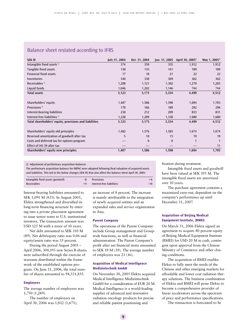## Balance sheet restated according to IFRS

| <b>SEK M</b>                                           | July 31, 2004 | Oct. 31, 2004 | Jan. 31, 2005 | April 30, 2005 <sup>2)</sup> | May 1, $2005^{2}$ |
|--------------------------------------------------------|---------------|---------------|---------------|------------------------------|-------------------|
| Intangible fixed assets <sup>2)</sup>                  | 374           | 359           | 355           | 1,912                        | 1,912             |
| Tangible fixed assets                                  | 138           | 135           | 141           | 189                          | 189               |
| <b>Financial fixed assets</b>                          | 17            | 18            | 21            | 22                           | 22                |
| Inventories                                            | 340           | 338           | 369           | 362                          | 362               |
| Receivables <sup><math>2)</math></sup>                 | 1,208         | 1,121         | 1,302         | 1,270                        | 1,283             |
| Liquid funds                                           | 1,046         | 1,202         | 1,146         | 744                          | 744               |
| <b>Total assets</b>                                    | 3,123         | 3,173         | 3,334         | 4,499                        | 4,512             |
|                                                        |               |               |               |                              |                   |
| Shareholders' equity                                   | 1,487         | 1,586         | 1,598         | 1,694                        | 1,705             |
| Provisions <sup>2)</sup>                               | 178           | 166           | 189           | 292                          | 296               |
| Interest-bearing liabilities                           | 230           | 212           | 209           | 833                          | 831               |
| Interest-free liabilities <sup>2)</sup>                | 1,228         | 1,209         | 1,338         | 1,680                        | 1,680             |
| Total shareholders' equity, provisions and liabilities | 3,123         | 3,173         | 3,334         | 4,499                        | 4,512             |
|                                                        |               |               |               |                              |                   |
| Shareholders' equity old principles                    | 1,482         | 1,576         | 1,583         | 1,674                        | 1,674             |
| Reversed amortization of goodwill after tax            | 5             | 10            | 15            | 19                           | 19                |
| Costs and deferred tax for options program             |               | $\bf{0}$      | $\bf{0}$      | 1                            | $\mathbf{1}$      |
| Effect of IAS 39 after tax                             |               |               |               |                              | 11                |
| Shareholders' equity new principles                    | 1,487         | 1,586         | 1,598         | 1,694                        | 1,705             |

2) Adjustment of preliminary acquisition balances

The preliminary acquisition balance for IMPAC were adopted following final valuation of acquired assets and liabilities. This led to the below changes (SEK M) that also affect the balance sheet April 30, 2005:

| Intangible fixed assets (goodwill) |      | <b>Provisions</b>         | $+6$  |
|------------------------------------|------|---------------------------|-------|
| Receivables                        | $+4$ | Interest-free liabilities | $-10$ |

Interest-bearing liabilities amounted to SEK 1,091 M (833). In August 2005, Elekta strengthened and diversified its long-term financing structure by entering into a private placement agreement to issue senior notes to U.S. institutional investors. The transaction amount was USD 125 M with a tenor of 10 years.

Net debt amounted to SEK 110 M (89). Net debt/equity ratio was 0.06 and equity/assets ratio was 35 percent.

During the period August 2005 – April 2006, 304,193 new Series B shares were subscribed through the exercise of warrants distributed within the framework of the established options program. On June 11, 2006, the total number of shares amounted to 94,331,855.

## **Employees**

The average number of employees was 1,750 (1,249).

The number of employees on April 30, 2006 was 1,812 (1,671), an increase of 8 percent. The increase is mainly attributable to the integration of newly acquired entities and an expanded sales and service organization in Asia.

#### **Parent Company**

The operations of the Parent Company include Group management and Groupwide functions, as well as financial administration. The Parent Company's profit after net financial items amounted to SEK 19 M (39). The average number of employees was 21 (16).

## **Acquisition of Medical Intelligence Medizintechnik GmbH**

On November 30, 2005 Elekta acquired Medical Intelligence Medizintechnik GmbH for a consideration of EUR 20 M. Medical Intelligence is a world-leading supplier of advanced and innovative radiation oncology products for precise and reliable patient positioning and

fixation during treatment.

Intangible fixed assets and goodwill have been valued at SEK 195 M. The intangible fixed assets are amortized over 10 years.

The purchase agreement contains a maximized earn-out, dependent on the company's performance up until December 31, 2007.

## **Acquisition of Beijing Medical Equipment Institute, (BMEI)**

On March 31, 2006 Elekta signed an agreement to acquire 80 percent equity of Beijing Medical Equipment Institute (BMEI) for USD 20 M in cash, contingent upon approval from the Chinese Ministry of Commerce and other closing conditions.

The acquisition of BMEI enables Elekta to fully meet the needs of the Chinese and other emerging markets for affordable and lower cost radiation therapy solutions. The business combination of Elekta and BMEI will poise Elekta to become a comprehensive provider of linear accelerators across the spectrum of price and performance specifications.

The transaction is forecasted to be